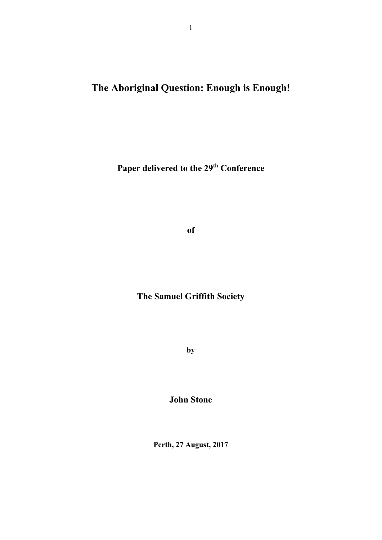**The Aboriginal Question: Enough is Enough!** 

Paper delivered to the 29<sup>th</sup> Conference

**of** 

## **The Samuel Griffith Society**

**by** 

**John Stone** 

**Perth, 27 August, 2017**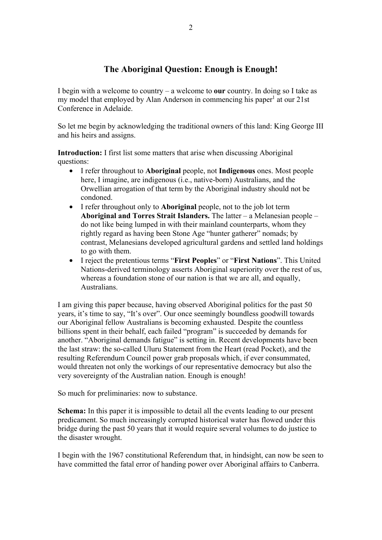## **The Aboriginal Question: Enough is Enough!**

I begin with a welcome to country – a welcome to **our** country. In doing so I take as my model that employed by Alan Anderson in commencing his paper<sup>1</sup> at our 21st Conference in Adelaide.

So let me begin by acknowledging the traditional owners of this land: King George III and his heirs and assigns.

**Introduction:** I first list some matters that arise when discussing Aboriginal questions:

- I refer throughout to **Aboriginal** people, not **Indigenous** ones. Most people here, I imagine, are indigenous (i.e., native-born) Australians, and the Orwellian arrogation of that term by the Aboriginal industry should not be condoned.
- I refer throughout only to **Aboriginal** people, not to the job lot term **Aboriginal and Torres Strait Islanders.** The latter – a Melanesian people – do not like being lumped in with their mainland counterparts, whom they rightly regard as having been Stone Age "hunter gatherer" nomads; by contrast, Melanesians developed agricultural gardens and settled land holdings to go with them.
- I reject the pretentious terms "**First Peoples**" or "**First Nations**". This United Nations-derived terminology asserts Aboriginal superiority over the rest of us, whereas a foundation stone of our nation is that we are all, and equally, Australians.

I am giving this paper because, having observed Aboriginal politics for the past 50 years, it's time to say, "It's over". Our once seemingly boundless goodwill towards our Aboriginal fellow Australians is becoming exhausted. Despite the countless billions spent in their behalf, each failed "program" is succeeded by demands for another. "Aboriginal demands fatigue" is setting in. Recent developments have been the last straw: the so-called Uluru Statement from the Heart (read Pocket), and the resulting Referendum Council power grab proposals which, if ever consummated, would threaten not only the workings of our representative democracy but also the very sovereignty of the Australian nation. Enough is enough!

So much for preliminaries: now to substance.

**Schema:** In this paper it is impossible to detail all the events leading to our present predicament. So much increasingly corrupted historical water has flowed under this bridge during the past 50 years that it would require several volumes to do justice to the disaster wrought.

I begin with the 1967 constitutional Referendum that, in hindsight, can now be seen to have committed the fatal error of handing power over Aboriginal affairs to Canberra.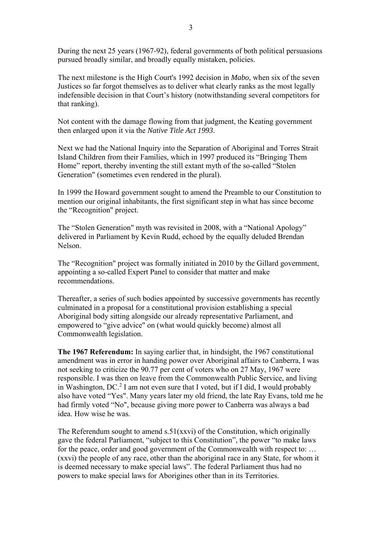During the next 25 years (1967-92), federal governments of both political persuasions pursued broadly similar, and broadly equally mistaken, policies.

The next milestone is the High Court's 1992 decision in *Mabo*, when six of the seven Justices so far forgot themselves as to deliver what clearly ranks as the most legally indefensible decision in that Court's history (notwithstanding several competitors for that ranking).

Not content with the damage flowing from that judgment, the Keating government then enlarged upon it via the *Native Title Act 1993*.

Next we had the National Inquiry into the Separation of Aboriginal and Torres Strait Island Children from their Families, which in 1997 produced its "Bringing Them Home" report, thereby inventing the still extant myth of the so-called "Stolen Generation" (sometimes even rendered in the plural).

In 1999 the Howard government sought to amend the Preamble to our Constitution to mention our original inhabitants, the first significant step in what has since become the "Recognition" project.

The "Stolen Generation" myth was revisited in 2008, with a "National Apology" delivered in Parliament by Kevin Rudd, echoed by the equally deluded Brendan Nelson.

The "Recognition" project was formally initiated in 2010 by the Gillard government, appointing a so-called Expert Panel to consider that matter and make recommendations.

Thereafter, a series of such bodies appointed by successive governments has recently culminated in a proposal for a constitutional provision establishing a special Aboriginal body sitting alongside our already representative Parliament, and empowered to "give advice" on (what would quickly become) almost all Commonwealth legislation.

**The 1967 Referendum:** In saying earlier that, in hindsight, the 1967 constitutional amendment was in error in handing power over Aboriginal affairs to Canberra, I was not seeking to criticize the 90.77 per cent of voters who on 27 May, 1967 were responsible. I was then on leave from the Commonwealth Public Service, and living in Washington,  $DC^2$  I am not even sure that I voted, but if I did, I would probably also have voted "Yes". Many years later my old friend, the late Ray Evans, told me he had firmly voted "No", because giving more power to Canberra was always a bad idea. How wise he was.

The Referendum sought to amend s.51(xxvi) of the Constitution, which originally gave the federal Parliament, "subject to this Constitution", the power "to make laws for the peace, order and good government of the Commonwealth with respect to: … (xxvi) the people of any race, other than the aboriginal race in any State, for whom it is deemed necessary to make special laws". The federal Parliament thus had no powers to make special laws for Aborigines other than in its Territories.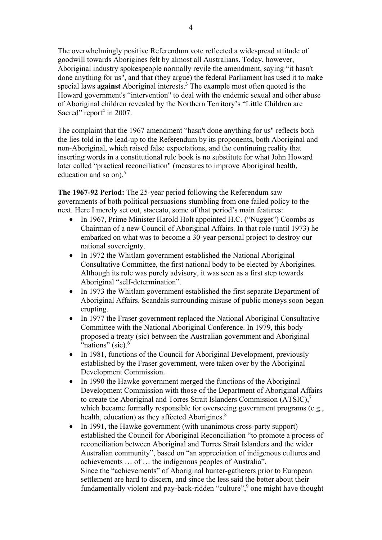The overwhelmingly positive Referendum vote reflected a widespread attitude of goodwill towards Aborigines felt by almost all Australians. Today, however, Aboriginal industry spokespeople normally revile the amendment, saying "it hasn't done anything for us", and that (they argue) the federal Parliament has used it to make special laws **against** Aboriginal interests.3 The example most often quoted is the Howard government's "intervention" to deal with the endemic sexual and other abuse of Aboriginal children revealed by the Northern Territory's "Little Children are Sacred" report<sup>4</sup> in 2007.

The complaint that the 1967 amendment "hasn't done anything for us" reflects both the lies told in the lead-up to the Referendum by its proponents, both Aboriginal and non-Aboriginal, which raised false expectations, and the continuing reality that inserting words in a constitutional rule book is no substitute for what John Howard later called "practical reconciliation" (measures to improve Aboriginal health, education and so on). $5$ 

**The 1967-92 Period:** The 25-year period following the Referendum saw governments of both political persuasions stumbling from one failed policy to the next. Here I merely set out, staccato, some of that period's main features:

- In 1967, Prime Minister Harold Holt appointed H.C. ("Nugget") Coombs as Chairman of a new Council of Aboriginal Affairs. In that role (until 1973) he embarked on what was to become a 30-year personal project to destroy our national sovereignty.
- In 1972 the Whitlam government established the National Aboriginal Consultative Committee, the first national body to be elected by Aborigines. Although its role was purely advisory, it was seen as a first step towards Aboriginal "self-determination".
- In 1973 the Whitlam government established the first separate Department of Aboriginal Affairs. Scandals surrounding misuse of public moneys soon began erupting.
- In 1977 the Fraser government replaced the National Aboriginal Consultative Committee with the National Aboriginal Conference. In 1979, this body proposed a treaty (sic) between the Australian government and Aboriginal "nations" (sic). $6$
- In 1981, functions of the Council for Aboriginal Development, previously established by the Fraser government, were taken over by the Aboriginal Development Commission.
- In 1990 the Hawke government merged the functions of the Aboriginal Development Commission with those of the Department of Aboriginal Affairs to create the Aboriginal and Torres Strait Islanders Commission (ATSIC),<sup>7</sup> which became formally responsible for overseeing government programs (e.g., health, education) as they affected Aborigines.<sup>8</sup>
- In 1991, the Hawke government (with unanimous cross-party support) established the Council for Aboriginal Reconciliation "to promote a process of reconciliation between Aboriginal and Torres Strait Islanders and the wider Australian community", based on "an appreciation of indigenous cultures and achievements … of … the indigenous peoples of Australia". Since the "achievements" of Aboriginal hunter-gatherers prior to European settlement are hard to discern, and since the less said the better about their fundamentally violent and pay-back-ridden "culture",<sup>9</sup> one might have thought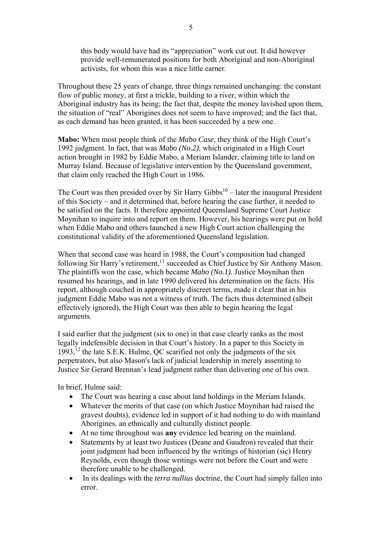this body would have had its "appreciation" work cut out. It did however provide well-remunerated positions for both Aboriginal and non-Aboriginal activists, for whom this was a nice little earner.

Throughout these 25 years of change, three things remained unchanging: the constant flow of public money, at first a trickle, building to a river, within which the Aboriginal industry has its being; the fact that, despite the money lavished upon them, the situation of "real" Aborigines does not seem to have improved; and the fact that, as each demand has been granted, it has been succeeded by a new one.

**Mabo:** When most people think of the *Mabo Case*, they think of the High Court's 1992 judgment. In fact, that was *Mabo (No.2)*, which originated in a High Court action brought in 1982 by Eddie Mabo, a Meriam Islander, claiming title to land on Murray Island. Because of legislative intervention by the Queensland government, that claim only reached the High Court in 1986.

The Court was then presided over by Sir Harry Gibbs<sup>10</sup> – later the inaugural President of this Society – and it determined that, before hearing the case further, it needed to be satisfied on the facts. It therefore appointed Queensland Supreme Court Justice Moynihan to inquire into and report on them. However, his hearings were put on hold when Eddie Mabo and others launched a new High Court action challenging the constitutional validity of the aforementioned Queensland legislation.

When that second case was heard in 1988, the Court's composition had changed following Sir Harry's retirement,<sup>11</sup> succeeded as Chief Justice by Sir Anthony Mason. The plaintiffs won the case, which became *Mabo (No.1).* Justice Moynihan then resumed his hearings, and in late 1990 delivered his determination on the facts. His report, although couched in appropriately discreet terms, made it clear that in his judgment Eddie Mabo was not a witness of truth. The facts thus determined (albeit effectively ignored), the High Court was then able to begin hearing the legal arguments.

I said earlier that the judgment (six to one) in that case clearly ranks as the most legally indefensible decision in that Court's history. In a paper to this Society in 1993,<sup>12</sup> the late S.E.K. Hulme, QC scarified not only the judgments of the six perpetrators, but also Mason's lack of judicial leadership in merely assenting to Justice Sir Gerard Brennan's lead judgment rather than delivering one of his own.

In brief, Hulme said:

- The Court was hearing a case about land holdings in the Meriam Islands.
- Whatever the merits of that case (on which Justice Moynihan had raised the gravest doubts), evidence led in support of it had nothing to do with mainland Aborigines, an ethnically and culturally distinct people.
- At no time throughout was **any** evidence led bearing on the mainland.
- Statements by at least two Justices (Deane and Gaudron) revealed that their joint judgment had been influenced by the writings of historian (sic) Henry Reynolds, even though those writings were not before the Court and were therefore unable to be challenged.
- In its dealings with the *terra nullius* doctrine, the Court had simply fallen into error.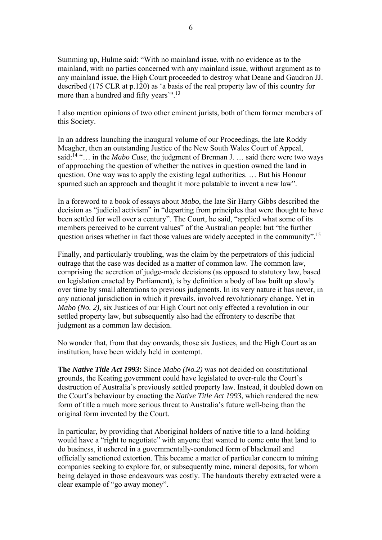Summing up, Hulme said: "With no mainland issue, with no evidence as to the mainland, with no parties concerned with any mainland issue, without argument as to any mainland issue, the High Court proceeded to destroy what Deane and Gaudron JJ. described (175 CLR at p.120) as 'a basis of the real property law of this country for more than a hundred and fifty years'".13

I also mention opinions of two other eminent jurists, both of them former members of this Society.

In an address launching the inaugural volume of our Proceedings, the late Roddy Meagher, then an outstanding Justice of the New South Wales Court of Appeal, said:14 "… in the *Mabo Case*, the judgment of Brennan J. … said there were two ways of approaching the question of whether the natives in question owned the land in question. One way was to apply the existing legal authorities. … But his Honour spurned such an approach and thought it more palatable to invent a new law".

In a foreword to a book of essays about *Mabo*, the late Sir Harry Gibbs described the decision as "judicial activism" in "departing from principles that were thought to have been settled for well over a century". The Court, he said, "applied what some of its members perceived to be current values" of the Australian people: but "the further question arises whether in fact those values are widely accepted in the community".<sup>15</sup>

Finally, and particularly troubling, was the claim by the perpetrators of this judicial outrage that the case was decided as a matter of common law. The common law, comprising the accretion of judge-made decisions (as opposed to statutory law, based on legislation enacted by Parliament), is by definition a body of law built up slowly over time by small alterations to previous judgments. In its very nature it has never, in any national jurisdiction in which it prevails, involved revolutionary change. Yet in *Mabo (No. 2),* six Justices of our High Court not only effected a revolution in our settled property law, but subsequently also had the effrontery to describe that judgment as a common law decision.

No wonder that, from that day onwards, those six Justices, and the High Court as an institution, have been widely held in contempt.

**The** *Native Title Act 1993***:** Since *Mabo (No.2)* was not decided on constitutional grounds, the Keating government could have legislated to over-rule the Court's destruction of Australia's previously settled property law. Instead, it doubled down on the Court's behaviour by enacting the *Native Title Act 1993*, which rendered the new form of title a much more serious threat to Australia's future well-being than the original form invented by the Court.

In particular, by providing that Aboriginal holders of native title to a land-holding would have a "right to negotiate" with anyone that wanted to come onto that land to do business, it ushered in a governmentally-condoned form of blackmail and officially sanctioned extortion. This became a matter of particular concern to mining companies seeking to explore for, or subsequently mine, mineral deposits, for whom being delayed in those endeavours was costly. The handouts thereby extracted were a clear example of "go away money".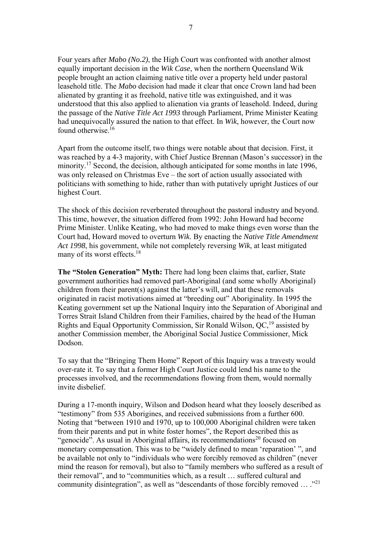Four years after *Mabo (No.2)*, the High Court was confronted with another almost equally important decision in the *Wik Case*, when the northern Queensland Wik people brought an action claiming native title over a property held under pastoral leasehold title. The *Mabo* decision had made it clear that once Crown land had been alienated by granting it as freehold, native title was extinguished, and it was understood that this also applied to alienation via grants of leasehold. Indeed, during the passage of the *Native Title Act 1993* through Parliament, Prime Minister Keating had unequivocally assured the nation to that effect. In *Wik*, however, the Court now found otherwise.16

Apart from the outcome itself, two things were notable about that decision. First, it was reached by a 4-3 majority, with Chief Justice Brennan (Mason's successor) in the minority.<sup>17</sup> Second, the decision, although anticipated for some months in late 1996, was only released on Christmas Eve – the sort of action usually associated with politicians with something to hide, rather than with putatively upright Justices of our highest Court.

The shock of this decision reverberated throughout the pastoral industry and beyond. This time, however, the situation differed from 1992: John Howard had become Prime Minister. Unlike Keating, who had moved to make things even worse than the Court had, Howard moved to overturn *Wik*. By enacting the *Native Title Amendment Act 1998*, his government, while not completely reversing *Wik*, at least mitigated many of its worst effects.<sup>18</sup>

**The "Stolen Generation" Myth:** There had long been claims that, earlier, State government authorities had removed part-Aboriginal (and some wholly Aboriginal) children from their parent(s) against the latter's will, and that these removals originated in racist motivations aimed at "breeding out" Aboriginality. In 1995 the Keating government set up the National Inquiry into the Separation of Aboriginal and Torres Strait Island Children from their Families, chaired by the head of the Human Rights and Equal Opportunity Commission, Sir Ronald Wilson,  $QC<sub>19</sub><sup>19</sup>$  assisted by another Commission member, the Aboriginal Social Justice Commissioner, Mick Dodson.

To say that the "Bringing Them Home" Report of this Inquiry was a travesty would over-rate it. To say that a former High Court Justice could lend his name to the processes involved, and the recommendations flowing from them, would normally invite disbelief.

During a 17-month inquiry, Wilson and Dodson heard what they loosely described as "testimony" from 535 Aborigines, and received submissions from a further 600. Noting that "between 1910 and 1970, up to 100,000 Aboriginal children were taken from their parents and put in white foster homes", the Report described this as "genocide". As usual in Aboriginal affairs, its recommendations<sup>20</sup> focused on monetary compensation. This was to be "widely defined to mean 'reparation' ", and be available not only to "individuals who were forcibly removed as children" (never mind the reason for removal), but also to "family members who suffered as a result of their removal", and to "communities which, as a result … suffered cultural and community disintegration", as well as "descendants of those forcibly removed … ."<sup>21</sup>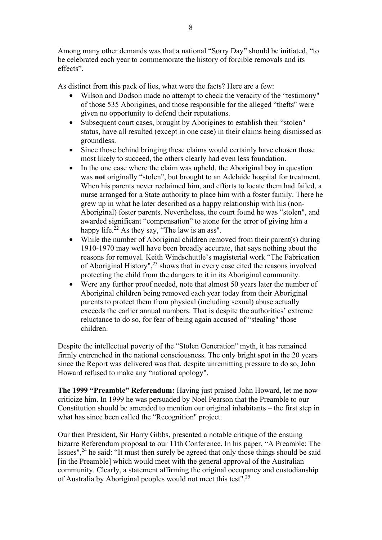Among many other demands was that a national "Sorry Day" should be initiated, "to be celebrated each year to commemorate the history of forcible removals and its effects".

As distinct from this pack of lies, what were the facts? Here are a few:

- Wilson and Dodson made no attempt to check the veracity of the "testimony" of those 535 Aborigines, and those responsible for the alleged "thefts" were given no opportunity to defend their reputations.
- Subsequent court cases, brought by Aborigines to establish their "stolen" status, have all resulted (except in one case) in their claims being dismissed as groundless.
- Since those behind bringing these claims would certainly have chosen those most likely to succeed, the others clearly had even less foundation.
- In the one case where the claim was upheld, the Aboriginal boy in question was **not** originally "stolen", but brought to an Adelaide hospital for treatment. When his parents never reclaimed him, and efforts to locate them had failed, a nurse arranged for a State authority to place him with a foster family. There he grew up in what he later described as a happy relationship with his (non-Aboriginal) foster parents. Nevertheless, the court found he was "stolen", and awarded significant "compensation" to atone for the error of giving him a happy life. $^{22}$  As they say, "The law is an ass".
- While the number of Aboriginal children removed from their parent(s) during 1910-1970 may well have been broadly accurate, that says nothing about the reasons for removal. Keith Windschuttle's magisterial work "The Fabrication of Aboriginal History",23 shows that in every case cited the reasons involved protecting the child from the dangers to it in its Aboriginal community.
- Were any further proof needed, note that almost 50 years later the number of Aboriginal children being removed each year today from their Aboriginal parents to protect them from physical (including sexual) abuse actually exceeds the earlier annual numbers. That is despite the authorities' extreme reluctance to do so, for fear of being again accused of "stealing" those children.

Despite the intellectual poverty of the "Stolen Generation" myth, it has remained firmly entrenched in the national consciousness. The only bright spot in the 20 years since the Report was delivered was that, despite unremitting pressure to do so, John Howard refused to make any "national apology".

**The 1999 "Preamble" Referendum:** Having just praised John Howard, let me now criticize him. In 1999 he was persuaded by Noel Pearson that the Preamble to our Constitution should be amended to mention our original inhabitants – the first step in what has since been called the "Recognition" project.

Our then President, Sir Harry Gibbs, presented a notable critique of the ensuing bizarre Referendum proposal to our 11th Conference. In his paper, "A Preamble: The Issues",  $24$  he said: "It must then surely be agreed that only those things should be said [in the Preamble] which would meet with the general approval of the Australian community. Clearly, a statement affirming the original occupancy and custodianship of Australia by Aboriginal peoples would not meet this test".25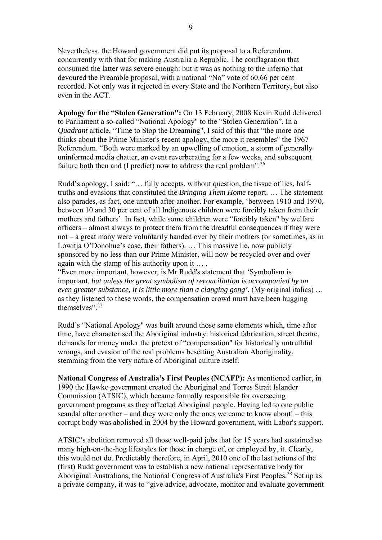Nevertheless, the Howard government did put its proposal to a Referendum, concurrently with that for making Australia a Republic. The conflagration that consumed the latter was severe enough: but it was as nothing to the inferno that devoured the Preamble proposal, with a national "No" vote of 60.66 per cent recorded. Not only was it rejected in every State and the Northern Territory, but also even in the ACT.

**Apology for the "Stolen Generation":** On 13 February, 2008 Kevin Rudd delivered to Parliament a so-called "National Apology" to the "Stolen Generation". In a *Quadrant* article, "Time to Stop the Dreaming", I said of this that "the more one thinks about the Prime Minister's recent apology, the more it resembles" the 1967 Referendum. "Both were marked by an upwelling of emotion, a storm of generally uninformed media chatter, an event reverberating for a few weeks, and subsequent failure both then and (I predict) now to address the real problem".<sup>26</sup>

Rudd's apology, I said: "… fully accepts, without question, the tissue of lies, halftruths and evasions that constituted the *Bringing Them Home* report. … The statement also parades, as fact, one untruth after another. For example, 'between 1910 and 1970, between 10 and 30 per cent of all Indigenous children were forcibly taken from their mothers and fathers'. In fact, while some children were "forcibly taken" by welfare officers – almost always to protect them from the dreadful consequences if they were not – a great many were voluntarily handed over by their mothers (or sometimes, as in Lowitja O'Donohue's case, their fathers). … This massive lie, now publicly sponsored by no less than our Prime Minister, will now be recycled over and over again with the stamp of his authority upon it … .

"Even more important, however, is Mr Rudd's statement that 'Symbolism is important, *but unless the great symbolism of reconciliation is accompanied by an even greater substance, it is little more than a clanging gong'.* (My original italics) … as they listened to these words, the compensation crowd must have been hugging themselves".27

Rudd's "National Apology" was built around those same elements which, time after time, have characterised the Aboriginal industry: historical fabrication, street theatre, demands for money under the pretext of "compensation" for historically untruthful wrongs, and evasion of the real problems besetting Australian Aboriginality, stemming from the very nature of Aboriginal culture itself.

**National Congress of Australia's First Peoples (NCAFP):** As mentioned earlier, in 1990 the Hawke government created the Aboriginal and Torres Strait Islander Commission (ATSIC), which became formally responsible for overseeing government programs as they affected Aboriginal people. Having led to one public scandal after another – and they were only the ones we came to know about! – this corrupt body was abolished in 2004 by the Howard government, with Labor's support.

ATSIC's abolition removed all those well-paid jobs that for 15 years had sustained so many high-on-the-hog lifestyles for those in charge of, or employed by, it. Clearly, this would not do. Predictably therefore, in April, 2010 one of the last actions of the (first) Rudd government was to establish a new national representative body for Aboriginal Australians, the National Congress of Australia's First Peoples.<sup>28</sup> Set up as a private company, it was to "give advice, advocate, monitor and evaluate government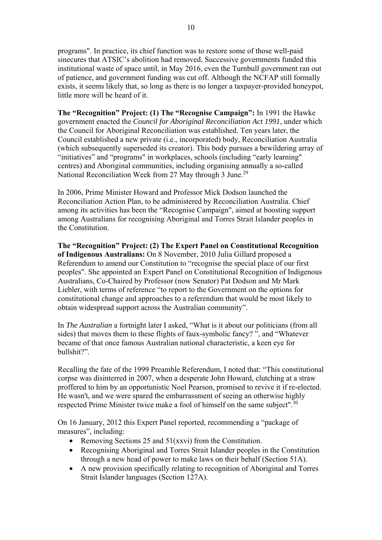programs". In practice, its chief function was to restore some of those well-paid sinecures that ATSIC's abolition had removed. Successive governments funded this institutional waste of space until, in May 2016, even the Turnbull government ran out of patience, and government funding was cut off. Although the NCFAP still formally exists, it seems likely that, so long as there is no longer a taxpayer-provided honeypot, little more will be heard of it.

**The "Recognition" Project: (1) The "Recognise Campaign":** In 1991 the Hawke government enacted the *Council for Aboriginal Reconciliation Act 1991*, under which the Council for Aboriginal Reconciliation was established. Ten years later, the Council established a new private (i.e., incorporated) body, Reconciliation Australia (which subsequently superseded its creator). This body pursues a bewildering array of "initiatives" and "programs" in workplaces, schools (including "early learning" centres) and Aboriginal communities, including organising annually a so-called National Reconciliation Week from 27 May through 3 June.<sup>29</sup>

In 2006, Prime Minister Howard and Professor Mick Dodson launched the Reconciliation Action Plan, to be administered by Reconciliation Australia. Chief among its activities has been the "Recognise Campaign", aimed at boosting support among Australians for recognising Aboriginal and Torres Strait Islander peoples in the Constitution.

**The "Recognition" Project: (2) The Expert Panel on Constitutional Recognition of Indigenous Australians:** On 8 November, 2010 Julia Gillard proposed a Referendum to amend our Constitution to "recognise the special place of our first peoples". She appointed an Expert Panel on Constitutional Recognition of Indigenous Australians, Co-Chaired by Professor (now Senator) Pat Dodson and Mr Mark Liebler, with terms of reference "to report to the Government on the options for constitutional change and approaches to a referendum that would be most likely to obtain widespread support across the Australian community".

In *The Australian* a fortnight later I asked, "What is it about our politicians (from all sides) that moves them to these flights of faux-symbolic fancy? ", and "Whatever became of that once famous Australian national characteristic, a keen eye for bullshit?".

Recalling the fate of the 1999 Preamble Referendum, I noted that: "This constitutional corpse was disinterred in 2007, when a desperate John Howard, clutching at a straw proffered to him by an opportunistic Noel Pearson, promised to revive it if re-elected. He wasn't, and we were spared the embarrassment of seeing an otherwise highly respected Prime Minister twice make a fool of himself on the same subject".<sup>30</sup>

On 16 January, 2012 this Expert Panel reported, recommending a "package of measures", including:

- Removing Sections 25 and 51(xxvi) from the Constitution.
- Recognising Aboriginal and Torres Strait Islander peoples in the Constitution through a new head of power to make laws on their behalf (Section 51A).
- A new provision specifically relating to recognition of Aboriginal and Torres Strait Islander languages (Section 127A).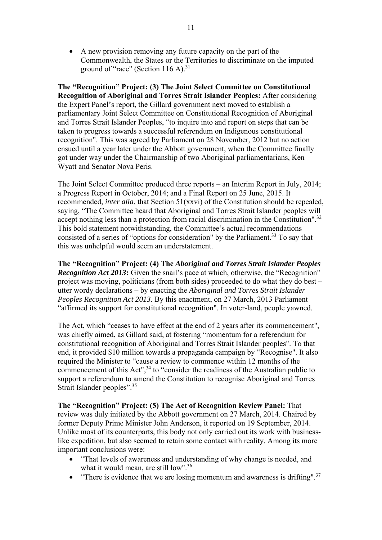• A new provision removing any future capacity on the part of the Commonwealth, the States or the Territories to discriminate on the imputed ground of "race" (Section 116 A). $31$ 

**The "Recognition" Project: (3) The Joint Select Committee on Constitutional Recognition of Aboriginal and Torres Strait Islander Peoples:** After considering the Expert Panel's report, the Gillard government next moved to establish a parliamentary Joint Select Committee on Constitutional Recognition of Aboriginal and Torres Strait Islander Peoples, "to inquire into and report on steps that can be taken to progress towards a successful referendum on Indigenous constitutional recognition". This was agreed by Parliament on 28 November, 2012 but no action ensued until a year later under the Abbott government, when the Committee finally got under way under the Chairmanship of two Aboriginal parliamentarians, Ken Wyatt and Senator Nova Peris.

The Joint Select Committee produced three reports – an Interim Report in July, 2014; a Progress Report in October, 2014; and a Final Report on 25 June, 2015. It recommended, *inter alia*, that Section 51(xxvi) of the Constitution should be repealed, saying, "The Committee heard that Aboriginal and Torres Strait Islander peoples will accept nothing less than a protection from racial discrimination in the Constitution".<sup>32</sup> This bold statement notwithstanding, the Committee's actual recommendations consisted of a series of "options for consideration" by the Parliament.<sup>33</sup> To say that this was unhelpful would seem an understatement.

**The "Recognition" Project: (4) The** *Aboriginal and Torres Strait Islander Peoples Recognition Act 2013***:** Given the snail's pace at which, otherwise, the "Recognition" project was moving, politicians (from both sides) proceeded to do what they do best – utter wordy declarations – by enacting the *Aboriginal and Torres Strait Islander Peoples Recognition Act 2013*. By this enactment, on 27 March, 2013 Parliament "affirmed its support for constitutional recognition". In voter-land, people yawned.

The Act, which "ceases to have effect at the end of 2 years after its commencement", was chiefly aimed, as Gillard said, at fostering "momentum for a referendum for constitutional recognition of Aboriginal and Torres Strait Islander peoples". To that end, it provided \$10 million towards a propaganda campaign by "Recognise". It also required the Minister to "cause a review to commence within 12 months of the commencement of this Act",<sup>34</sup> to "consider the readiness of the Australian public to support a referendum to amend the Constitution to recognise Aboriginal and Torres Strait Islander peoples".<sup>35</sup>

**The "Recognition" Project: (5) The Act of Recognition Review Panel:** That review was duly initiated by the Abbott government on 27 March, 2014. Chaired by former Deputy Prime Minister John Anderson, it reported on 19 September, 2014. Unlike most of its counterparts, this body not only carried out its work with businesslike expedition, but also seemed to retain some contact with reality. Among its more important conclusions were:

- "That levels of awareness and understanding of why change is needed, and what it would mean, are still low".36
- "There is evidence that we are losing momentum and awareness is drifting".<sup>37</sup>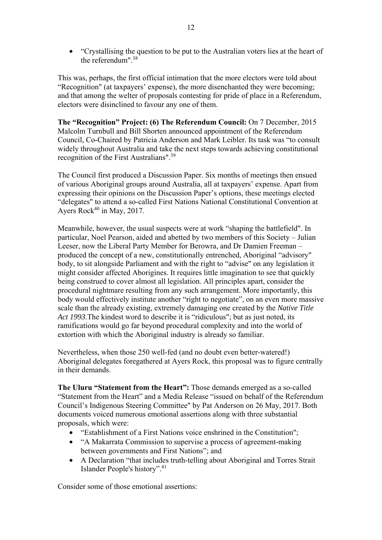• "Crystallising the question to be put to the Australian voters lies at the heart of the referendum".38

This was, perhaps, the first official intimation that the more electors were told about "Recognition" (at taxpayers' expense), the more disenchanted they were becoming; and that among the welter of proposals contesting for pride of place in a Referendum, electors were disinclined to favour any one of them.

**The "Recognition" Project: (6) The Referendum Council:** On 7 December, 2015 Malcolm Turnbull and Bill Shorten announced appointment of the Referendum Council, Co-Chaired by Patricia Anderson and Mark Leibler. Its task was "to consult widely throughout Australia and take the next steps towards achieving constitutional recognition of the First Australians".<sup>39</sup>

The Council first produced a Discussion Paper. Six months of meetings then ensued of various Aboriginal groups around Australia, all at taxpayers' expense. Apart from expressing their opinions on the Discussion Paper's options, these meetings elected "delegates" to attend a so-called First Nations National Constitutional Convention at Ayers Rock<sup>40</sup> in May, 2017.

Meanwhile, however, the usual suspects were at work "shaping the battlefield". In particular, Noel Pearson, aided and abetted by two members of this Society – Julian Leeser, now the Liberal Party Member for Berowra, and Dr Damien Freeman – produced the concept of a new, constitutionally entrenched, Aboriginal "advisory" body, to sit alongside Parliament and with the right to "advise" on any legislation it might consider affected Aborigines. It requires little imagination to see that quickly being construed to cover almost all legislation. All principles apart, consider the procedural nightmare resulting from any such arrangement. More importantly, this body would effectively institute another "right to negotiate", on an even more massive scale than the already existing, extremely damaging one created by the *Native Title Act 1993*.The kindest word to describe it is "ridiculous"; but as just noted, its ramifications would go far beyond procedural complexity and into the world of extortion with which the Aboriginal industry is already so familiar.

Nevertheless, when those 250 well-fed (and no doubt even better-watered!) Aboriginal delegates foregathered at Ayers Rock, this proposal was to figure centrally in their demands.

**The Uluru "Statement from the Heart":** Those demands emerged as a so-called "Statement from the Heart" and a Media Release "issued on behalf of the Referendum Council's Indigenous Steering Committee" by Pat Anderson on 26 May, 2017. Both documents voiced numerous emotional assertions along with three substantial proposals, which were:

- "Establishment of a First Nations voice enshrined in the Constitution";
- "A Makarrata Commission to supervise a process of agreement-making between governments and First Nations"; and
- A Declaration "that includes truth-telling about Aboriginal and Torres Strait Islander People's history".41

Consider some of those emotional assertions: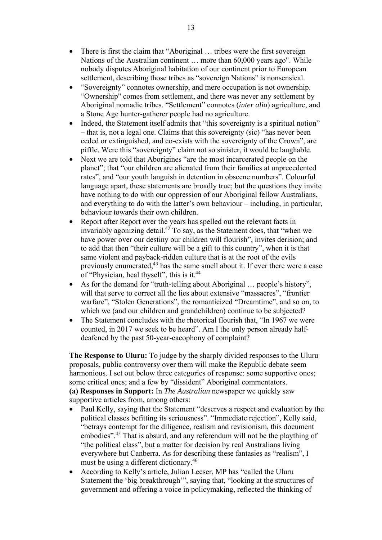- There is first the claim that "Aboriginal ... tribes were the first sovereign Nations of the Australian continent … more than 60,000 years ago". While nobody disputes Aboriginal habitation of our continent prior to European settlement, describing those tribes as "sovereign Nations" is nonsensical.
- "Sovereignty" connotes ownership, and mere occupation is not ownership. "Ownership" comes from settlement, and there was never any settlement by Aboriginal nomadic tribes. "Settlement" connotes (*inter alia*) agriculture, and a Stone Age hunter-gatherer people had no agriculture.
- Indeed, the Statement itself admits that "this sovereignty is a spiritual notion" – that is, not a legal one. Claims that this sovereignty (sic) "has never been ceded or extinguished, and co-exists with the sovereignty of the Crown", are piffle. Were this "sovereignty" claim not so sinister, it would be laughable.
- Next we are told that Aborigines "are the most incarcerated people on the planet"; that "our children are alienated from their families at unprecedented rates", and "our youth languish in detention in obscene numbers". Colourful language apart, these statements are broadly true; but the questions they invite have nothing to do with our oppression of our Aboriginal fellow Australians, and everything to do with the latter's own behaviour – including, in particular, behaviour towards their own children.
- Report after Report over the years has spelled out the relevant facts in invariably agonizing detail.42 To say, as the Statement does, that "when we have power over our destiny our children will flourish", invites derision; and to add that then "their culture will be a gift to this country", when it is that same violent and payback-ridden culture that is at the root of the evils previously enumerated,<sup>43</sup> has the same smell about it. If ever there were a case of "Physician, heal thyself", this is it.<sup>44</sup>
- As for the demand for "truth-telling about Aboriginal … people's history", will that serve to correct all the lies about extensive "massacres", "frontier warfare", "Stolen Generations", the romanticized "Dreamtime", and so on, to which we (and our children and grandchildren) continue to be subjected?
- The Statement concludes with the rhetorical flourish that, "In 1967 we were counted, in 2017 we seek to be heard". Am I the only person already halfdeafened by the past 50-year-cacophony of complaint?

**The Response to Uluru:** To judge by the sharply divided responses to the Uluru proposals, public controversy over them will make the Republic debate seem harmonious. I set out below three categories of response: some supportive ones; some critical ones; and a few by "dissident" Aboriginal commentators. **(a) Responses in Support:** In *The Australian* newspaper we quickly saw supportive articles from, among others:

- Paul Kelly, saying that the Statement "deserves a respect and evaluation by the political classes befitting its seriousness". "Immediate rejection", Kelly said, "betrays contempt for the diligence, realism and revisionism, this document embodies".45 That is absurd, and any referendum will not be the plaything of "the political class", but a matter for decision by real Australians living everywhere but Canberra. As for describing these fantasies as "realism", I must be using a different dictionary.<sup>46</sup>
- According to Kelly's article, Julian Leeser, MP has "called the Uluru Statement the 'big breakthrough'", saying that, "looking at the structures of government and offering a voice in policymaking, reflected the thinking of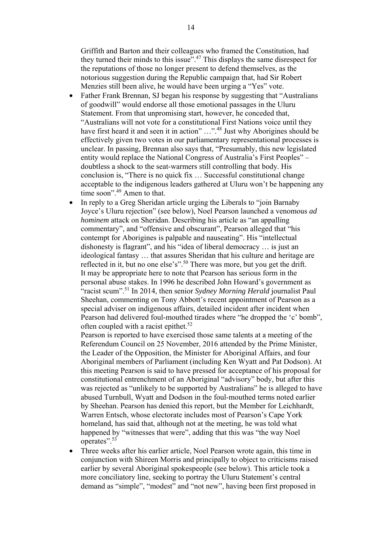Griffith and Barton and their colleagues who framed the Constitution, had they turned their minds to this issue"<sup>47</sup> This displays the same disrespect for the reputations of those no longer present to defend themselves, as the notorious suggestion during the Republic campaign that, had Sir Robert Menzies still been alive, he would have been urging a "Yes" vote.

- Father Frank Brennan, SJ began his response by suggesting that "Australians" of goodwill" would endorse all those emotional passages in the Uluru Statement. From that unpromising start, however, he conceded that, "Australians will not vote for a constitutional First Nations voice until they have first heard it and seen it in action" ..."<sup>48</sup> Just why Aborigines should be effectively given two votes in our parliamentary representational processes is unclear. In passing, Brennan also says that, "Presumably, this new legislated entity would replace the National Congress of Australia's First Peoples" – doubtless a shock to the seat-warmers still controlling that body. His conclusion is, "There is no quick fix … Successful constitutional change acceptable to the indigenous leaders gathered at Uluru won't be happening any time soon".<sup>49</sup> Amen to that.
- In reply to a Greg Sheridan article urging the Liberals to "join Barnaby" Joyce's Uluru rejection" (see below), Noel Pearson launched a venomous *ad hominem* attack on Sheridan. Describing his article as "an appalling commentary", and "offensive and obscurant", Pearson alleged that "his contempt for Aborigines is palpable and nauseating". His "intellectual dishonesty is flagrant", and his "idea of liberal democracy … is just an ideological fantasy … that assures Sheridan that his culture and heritage are reflected in it, but no one else's".50 There was more, but you get the drift. It may be appropriate here to note that Pearson has serious form in the personal abuse stakes. In 1996 he described John Howard's government as "racist scum".51 In 2014, then senior *Sydney Morning Herald* journalist Paul Sheehan, commenting on Tony Abbott's recent appointment of Pearson as a special adviser on indigenous affairs, detailed incident after incident when Pearson had delivered foul-mouthed tirades where "he dropped the 'c' bomb", often coupled with a racist epithet.<sup>52</sup>

Pearson is reported to have exercised those same talents at a meeting of the Referendum Council on 25 November, 2016 attended by the Prime Minister, the Leader of the Opposition, the Minister for Aboriginal Affairs, and four Aboriginal members of Parliament (including Ken Wyatt and Pat Dodson). At this meeting Pearson is said to have pressed for acceptance of his proposal for constitutional entrenchment of an Aboriginal "advisory" body, but after this was rejected as "unlikely to be supported by Australians" he is alleged to have abused Turnbull, Wyatt and Dodson in the foul-mouthed terms noted earlier by Sheehan. Pearson has denied this report, but the Member for Leichhardt, Warren Entsch, whose electorate includes most of Pearson's Cape York homeland, has said that, although not at the meeting, he was told what happened by "witnesses that were", adding that this was "the way Noel operates".<sup>53</sup>

• Three weeks after his earlier article, Noel Pearson wrote again, this time in conjunction with Shireen Morris and principally to object to criticisms raised earlier by several Aboriginal spokespeople (see below). This article took a more conciliatory line, seeking to portray the Uluru Statement's central demand as "simple", "modest" and "not new", having been first proposed in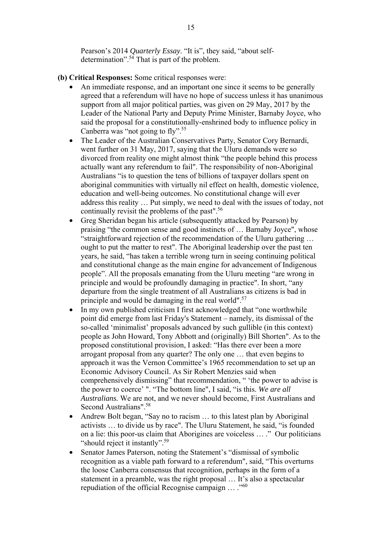Pearson's 2014 *Quarterly Essay*. "It is", they said, "about selfdetermination".54 That is part of the problem.

- **(b) Critical Responses:** Some critical responses were:
	- An immediate response, and an important one since it seems to be generally agreed that a referendum will have no hope of success unless it has unanimous support from all major political parties, was given on 29 May, 2017 by the Leader of the National Party and Deputy Prime Minister, Barnaby Joyce, who said the proposal for a constitutionally-enshrined body to influence policy in Canberra was "not going to  $\text{fly"}.^{55}$
	- The Leader of the Australian Conservatives Party, Senator Cory Bernardi, went further on 31 May, 2017, saying that the Uluru demands were so divorced from reality one might almost think "the people behind this process actually want any referendum to fail". The responsibility of non-Aboriginal Australians "is to question the tens of billions of taxpayer dollars spent on aboriginal communities with virtually nil effect on health, domestic violence, education and well-being outcomes. No constitutional change will ever address this reality … Put simply, we need to deal with the issues of today, not continually revisit the problems of the past".56
	- Greg Sheridan began his article (subsequently attacked by Pearson) by praising "the common sense and good instincts of … Barnaby Joyce", whose "straightforward rejection of the recommendation of the Uluru gathering … ought to put the matter to rest". The Aboriginal leadership over the past ten years, he said, "has taken a terrible wrong turn in seeing continuing political and constitutional change as the main engine for advancement of Indigenous people". All the proposals emanating from the Uluru meeting "are wrong in principle and would be profoundly damaging in practice". In short, "any departure from the single treatment of all Australians as citizens is bad in principle and would be damaging in the real world".<sup>57</sup>
	- In my own published criticism I first acknowledged that "one worthwhile point did emerge from last Friday's Statement – namely, its dismissal of the so-called 'minimalist' proposals advanced by such gullible (in this context) people as John Howard, Tony Abbott and (originally) Bill Shorten". As to the proposed constitutional provision, I asked: "Has there ever been a more arrogant proposal from any quarter? The only one … that even begins to approach it was the Vernon Committee's 1965 recommendation to set up an Economic Advisory Council. As Sir Robert Menzies said when comprehensively dismissing" that recommendation, " 'the power to advise is the power to coerce' ". "The bottom line", I said, "is this. *We are all Australians.* We are not, and we never should become, First Australians and Second Australians".58
	- Andrew Bolt began, "Say no to racism … to this latest plan by Aboriginal activists … to divide us by race". The Uluru Statement, he said, "is founded on a lie: this poor-us claim that Aborigines are voiceless … ." Our politicians "should reject it instantly".<sup>59</sup>
	- Senator James Paterson, noting the Statement's "dismissal of symbolic recognition as a viable path forward to a referendum", said, "This overturns the loose Canberra consensus that recognition, perhaps in the form of a statement in a preamble, was the right proposal … It's also a spectacular repudiation of the official Recognise campaign  $\dots$  ."<sup>60</sup>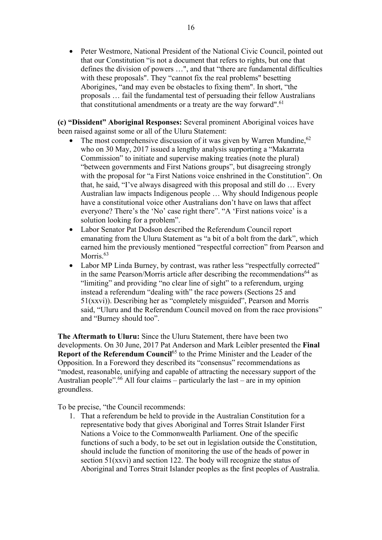• Peter Westmore, National President of the National Civic Council, pointed out that our Constitution "is not a document that refers to rights, but one that defines the division of powers …", and that "there are fundamental difficulties with these proposals". They "cannot fix the real problems" besetting Aborigines, "and may even be obstacles to fixing them". In short, "the proposals … fail the fundamental test of persuading their fellow Australians that constitutional amendments or a treaty are the way forward".<sup>61</sup>

**(c) "Dissident" Aboriginal Responses:** Several prominent Aboriginal voices have been raised against some or all of the Uluru Statement:

- The most comprehensive discussion of it was given by Warren Mundine.<sup>62</sup> who on 30 May, 2017 issued a lengthy analysis supporting a "Makarrata Commission" to initiate and supervise making treaties (note the plural) "between governments and First Nations groups", but disagreeing strongly with the proposal for "a First Nations voice enshrined in the Constitution". On that, he said, "I've always disagreed with this proposal and still do … Every Australian law impacts Indigenous people … Why should Indigenous people have a constitutional voice other Australians don't have on laws that affect everyone? There's the 'No' case right there". "A 'First nations voice' is a solution looking for a problem".
- Labor Senator Pat Dodson described the Referendum Council report emanating from the Uluru Statement as "a bit of a bolt from the dark", which earned him the previously mentioned "respectful correction" from Pearson and Morris.<sup>63</sup>
- Labor MP Linda Burney, by contrast, was rather less "respectfully corrected" in the same Pearson/Morris article after describing the recommendations<sup>64</sup> as "limiting" and providing "no clear line of sight" to a referendum, urging instead a referendum "dealing with" the race powers (Sections 25 and 51(xxvi)). Describing her as "completely misguided", Pearson and Morris said, "Uluru and the Referendum Council moved on from the race provisions" and "Burney should too".

**The Aftermath to Uluru:** Since the Uluru Statement, there have been two developments. On 30 June, 2017 Pat Anderson and Mark Leibler presented the **Final Report of the Referendum Council**<sup>65</sup> to the Prime Minister and the Leader of the Opposition. In a Foreword they described its "consensus" recommendations as "modest, reasonable, unifying and capable of attracting the necessary support of the Australian people".<sup>66</sup> All four claims – particularly the last – are in my opinion groundless.

To be precise, "the Council recommends:

1. That a referendum be held to provide in the Australian Constitution for a representative body that gives Aboriginal and Torres Strait Islander First Nations a Voice to the Commonwealth Parliament. One of the specific functions of such a body, to be set out in legislation outside the Constitution, should include the function of monitoring the use of the heads of power in section 51(xxvi) and section 122. The body will recognize the status of Aboriginal and Torres Strait Islander peoples as the first peoples of Australia.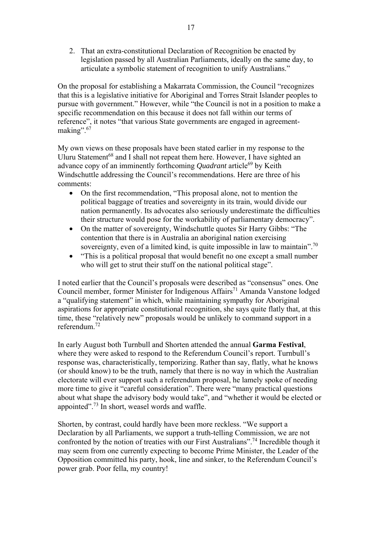2. That an extra-constitutional Declaration of Recognition be enacted by legislation passed by all Australian Parliaments, ideally on the same day, to articulate a symbolic statement of recognition to unify Australians."

On the proposal for establishing a Makarrata Commission, the Council "recognizes that this is a legislative initiative for Aboriginal and Torres Strait Islander peoples to pursue with government." However, while "the Council is not in a position to make a specific recommendation on this because it does not fall within our terms of reference", it notes "that various State governments are engaged in agreementmaking".<sup>67</sup>

My own views on these proposals have been stated earlier in my response to the Uluru Statement<sup>68</sup> and I shall not repeat them here. However, I have sighted an advance copy of an imminently forthcoming *Quadrant* article<sup>69</sup> by Keith Windschuttle addressing the Council's recommendations. Here are three of his comments:

- On the first recommendation, "This proposal alone, not to mention the political baggage of treaties and sovereignty in its train, would divide our nation permanently. Its advocates also seriously underestimate the difficulties their structure would pose for the workability of parliamentary democracy".
- On the matter of sovereignty, Windschuttle quotes Sir Harry Gibbs: "The contention that there is in Australia an aboriginal nation exercising sovereignty, even of a limited kind, is quite impossible in law to maintain".<sup>70</sup>
- "This is a political proposal that would benefit no one except a small number who will get to strut their stuff on the national political stage".

I noted earlier that the Council's proposals were described as "consensus" ones. One Council member, former Minister for Indigenous Affairs<sup>71</sup> Amanda Vanstone lodged a "qualifying statement" in which, while maintaining sympathy for Aboriginal aspirations for appropriate constitutional recognition, she says quite flatly that, at this time, these "relatively new" proposals would be unlikely to command support in a referendum.72

In early August both Turnbull and Shorten attended the annual **Garma Festival**, where they were asked to respond to the Referendum Council's report. Turnbull's response was, characteristically, temporizing. Rather than say, flatly, what he knows (or should know) to be the truth, namely that there is no way in which the Australian electorate will ever support such a referendum proposal, he lamely spoke of needing more time to give it "careful consideration". There were "many practical questions about what shape the advisory body would take", and "whether it would be elected or appointed".73 In short, weasel words and waffle.

Shorten, by contrast, could hardly have been more reckless. "We support a Declaration by all Parliaments, we support a truth-telling Commission, we are not confronted by the notion of treaties with our First Australians".<sup>74</sup> Incredible though it may seem from one currently expecting to become Prime Minister, the Leader of the Opposition committed his party, hook, line and sinker, to the Referendum Council's power grab. Poor fella, my country!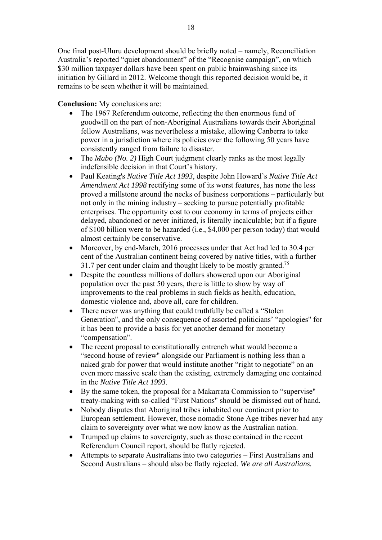One final post-Uluru development should be briefly noted – namely, Reconciliation Australia's reported "quiet abandonment" of the "Recognise campaign", on which \$30 million taxpayer dollars have been spent on public brainwashing since its initiation by Gillard in 2012. Welcome though this reported decision would be, it remains to be seen whether it will be maintained.

**Conclusion:** My conclusions are:

- The 1967 Referendum outcome, reflecting the then enormous fund of goodwill on the part of non-Aboriginal Australians towards their Aboriginal fellow Australians, was nevertheless a mistake, allowing Canberra to take power in a jurisdiction where its policies over the following 50 years have consistently ranged from failure to disaster.
- The *Mabo (No. 2)* High Court judgment clearly ranks as the most legally indefensible decision in that Court's history.
- Paul Keating's *Native Title Act 1993*, despite John Howard's *Native Title Act Amendment Act 1998* rectifying some of its worst features, has none the less proved a millstone around the necks of business corporations – particularly but not only in the mining industry – seeking to pursue potentially profitable enterprises. The opportunity cost to our economy in terms of projects either delayed, abandoned or never initiated, is literally incalculable; but if a figure of \$100 billion were to be hazarded (i.e., \$4,000 per person today) that would almost certainly be conservative.
- Moreover, by end-March, 2016 processes under that Act had led to 30.4 per cent of the Australian continent being covered by native titles, with a further 31.7 per cent under claim and thought likely to be mostly granted.<sup>75</sup>
- Despite the countless millions of dollars showered upon our Aboriginal population over the past 50 years, there is little to show by way of improvements to the real problems in such fields as health, education, domestic violence and, above all, care for children.
- There never was anything that could truthfully be called a "Stolen" Generation", and the only consequence of assorted politicians' "apologies" for it has been to provide a basis for yet another demand for monetary "compensation".
- The recent proposal to constitutionally entrench what would become a "second house of review" alongside our Parliament is nothing less than a naked grab for power that would institute another "right to negotiate" on an even more massive scale than the existing, extremely damaging one contained in the *Native Title Act 1993*.
- By the same token, the proposal for a Makarrata Commission to "supervise" treaty-making with so-called "First Nations" should be dismissed out of hand.
- Nobody disputes that Aboriginal tribes inhabited our continent prior to European settlement. However, those nomadic Stone Age tribes never had any claim to sovereignty over what we now know as the Australian nation.
- Trumped up claims to sovereignty, such as those contained in the recent Referendum Council report, should be flatly rejected.
- Attempts to separate Australians into two categories First Australians and Second Australians – should also be flatly rejected. *We are all Australians.*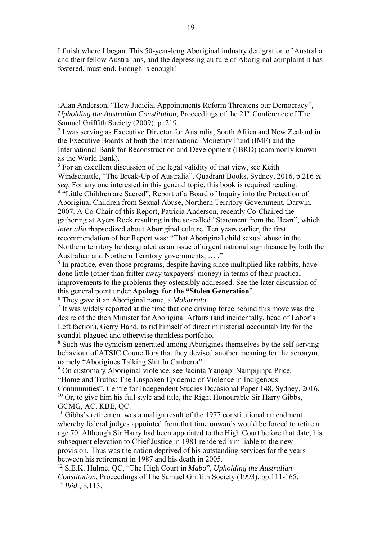I finish where I began. This 50-year-long Aboriginal industry denigration of Australia and their fellow Australians, and the depressing culture of Aboriginal complaint it has fostered, must end. Enough is enough!

 $3$  For an excellent discussion of the legal validity of that view, see Keith Windschuttle, "The Break-Up of Australia", Quadrant Books, Sydney, 2016, p.216 *et seq*. For any one interested in this general topic, this book is required reading. <sup>4</sup> "Little Children are Sacred", Report of a Board of Inquiry into the Protection of Aboriginal Children from Sexual Abuse, Northern Territory Government, Darwin, 2007. A Co-Chair of this Report, Patricia Anderson, recently Co-Chaired the gathering at Ayers Rock resulting in the so-called "Statement from the Heart", which *inter alia* rhapsodized about Aboriginal culture. Ten years earlier, the first recommendation of her Report was: "That Aboriginal child sexual abuse in the Northern territory be designated as an issue of urgent national significance by both the

Australian and Northern Territory governments, … ."

<sup>5</sup> In practice, even those programs, despite having since multiplied like rabbits, have done little (other than fritter away taxpayers' money) in terms of their practical improvements to the problems they ostensibly addressed. See the later discussion of this general point under **Apology for the "Stolen Generation**".

 $^6$  They gave it an Aboriginal name, a *Makarrata*.

1

 $\frac{7}{1}$  It was widely reported at the time that one driving force behind this move was the desire of the then Minister for Aboriginal Affairs (and incidentally, head of Labor's Left faction), Gerry Hand, to rid himself of direct ministerial accountability for the scandal-plagued and otherwise thankless portfolio.

<sup>8</sup> Such was the cynicism generated among Aborigines themselves by the self-serving behaviour of ATSIC Councillors that they devised another meaning for the acronym, namely "Aborigines Talking Shit In Canberra".

<sup>9</sup> On customary Aboriginal violence, see Jacinta Yangapi Nampijinpa Price, "Homeland Truths: The Unspoken Epidemic of Violence in Indigenous

Communities", Centre for Independent Studies Occasional Paper 148, Sydney, 2016.  $10$  Or, to give him his full style and title, the Right Honourable Sir Harry Gibbs, GCMG, AC, KBE, QC.

 $11$  Gibbs's retirement was a malign result of the 1977 constitutional amendment whereby federal judges appointed from that time onwards would be forced to retire at age 70. Although Sir Harry had been appointed to the High Court before that date, his subsequent elevation to Chief Justice in 1981 rendered him liable to the new provision. Thus was the nation deprived of his outstanding services for the years between his retirement in 1987 and his death in 2005.

12 S.E.K. Hulme, QC, "The High Court in *Mabo*", *Upholding the Australian Constitution*, Proceedings of The Samuel Griffith Society (1993), pp.111-165. 13 *Ibid*., p.113.

<sup>1</sup>Alan Anderson, "How Judicial Appointments Reform Threatens our Democracy", *Upholding the Australian Constitution*, Proceedings of the 21<sup>st</sup> Conference of The Samuel Griffith Society (2009), p. 219.

<sup>&</sup>lt;sup>2</sup> I was serving as Executive Director for Australia, South Africa and New Zealand in the Executive Boards of both the International Monetary Fund (IMF) and the International Bank for Reconstruction and Development (IBRD) (commonly known as the World Bank).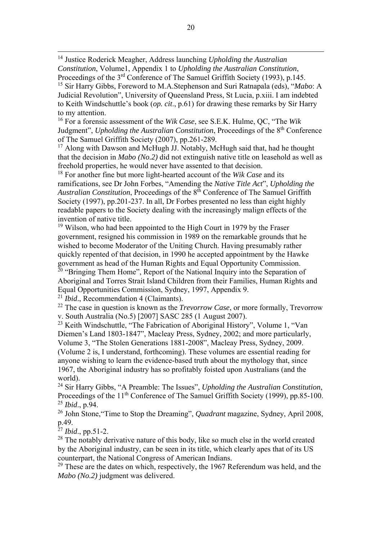14 Justice Roderick Meagher, Address launching *Upholding the Australian Constitution*, Volume1, Appendix 1 to *Upholding the Australian Constitution*, Proceedings of the 3<sup>rd</sup> Conference of The Samuel Griffith Society (1993), p.145. 15 Sir Harry Gibbs, Foreword to M.A.Stephenson and Suri Ratnapala (eds), "*Mabo*: A Judicial Revolution", University of Queensland Press, St Lucia, p.xiii. I am indebted to Keith Windschuttle's book (*op. cit*., p.61) for drawing these remarks by Sir Harry to my attention.

16 For a forensic assessment of the *Wik Case*, see S.E.K. Hulme, QC, "The *Wik* Judgment", *Upholding the Australian Constitution*, Proceedings of the 8<sup>th</sup> Conference of The Samuel Griffith Society (2007), pp.261-289.

<sup>17</sup> Along with Dawson and McHugh JJ. Notably, McHugh said that, had he thought that the decision in *Mabo (No.2)* did not extinguish native title on leasehold as well as freehold properties, he would never have assented to that decision.

18 For another fine but more light-hearted account of the *Wik Case* and its ramifications, see Dr John Forbes, "Amending the *Native Title Act*", *Upholding the Australian Constitution*, Proceedings of the 8th Conference of The Samuel Griffith Society (1997), pp.201-237. In all, Dr Forbes presented no less than eight highly readable papers to the Society dealing with the increasingly malign effects of the invention of native title.

<sup>19</sup> Wilson, who had been appointed to the High Court in 1979 by the Fraser government, resigned his commission in 1989 on the remarkable grounds that he wished to become Moderator of the Uniting Church. Having presumably rather quickly repented of that decision, in 1990 he accepted appointment by the Hawke government as head of the Human Rights and Equal Opportunity Commission. <sup>20</sup> "Bringing Them Home", Report of the National Inquiry into the Separation of

Aboriginal and Torres Strait Island Children from their Families, Human Rights and Equal Opportunities Commission, Sydney, 1997, Appendix 9.

<sup>21</sup> *Ibid*., Recommendation 4 (Claimants).

22 The case in question is known as the *Trevorrow Case*, or more formally, Trevorrow v. South Australia (No.5) [2007] SASC 285 (1 August 2007).

23 Keith Windschuttle, "The Fabrication of Aboriginal History", Volume 1, "Van Diemen's Land 1803-1847", Macleay Press, Sydney, 2002; and more particularly, Volume 3, "The Stolen Generations 1881-2008", Macleay Press, Sydney, 2009. (Volume 2 is, I understand, forthcoming). These volumes are essential reading for anyone wishing to learn the evidence-based truth about the mythology that, since 1967, the Aboriginal industry has so profitably foisted upon Australians (and the world).

24 Sir Harry Gibbs, "A Preamble: The Issues", *Upholding the Australian Constitution*, Proceedings of the 11<sup>th</sup> Conference of The Samuel Griffith Society (1999), pp.85-100. <sup>25</sup> *Ibid*., p.94.

26 John Stone,"Time to Stop the Dreaming", *Quadrant* magazine, Sydney, April 2008, p.49.

<sup>27</sup> *Ibid*., pp.51-2.

<sup>28</sup> The notably derivative nature of this body, like so much else in the world created by the Aboriginal industry, can be seen in its title, which clearly apes that of its US counterpart, the National Congress of American Indians.

 $29$  These are the dates on which, respectively, the 1967 Referendum was held, and the *Mabo (No.2)* judgment was delivered.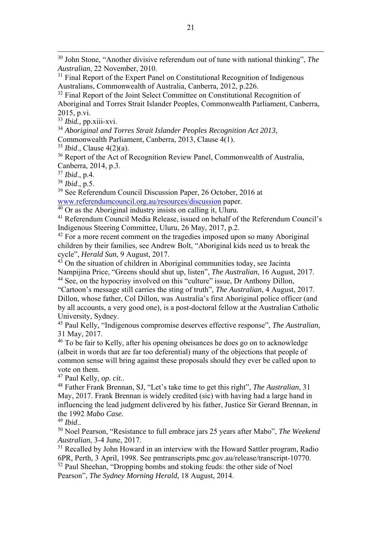30 John Stone, "Another divisive referendum out of tune with national thinking", *The Australian*, 22 November, 2010.

<sup>31</sup> Final Report of the Expert Panel on Constitutional Recognition of Indigenous Australians, Commonwealth of Australia, Canberra, 2012, p.226.

 $32$  Final Report of the Joint Select Committee on Constitutional Recognition of Aboriginal and Torres Strait Islander Peoples, Commonwealth Parliament, Canberra, 2015, p.vi.

<sup>33</sup> *Ibid.,* pp.xiii-xvi.

<sup>34</sup> *Aboriginal and Torres Strait Islander Peoples Recognition Act 2013*,

Commonwealth Parliament, Canberra, 2013, Clause 4(1).

<sup>35</sup> *Ibid*., Clause 4(2)(a).

<sup>36</sup> Report of the Act of Recognition Review Panel, Commonwealth of Australia, Canberra, 2014, p.3.

<sup>37</sup> *Ibid*., p.4.

<sup>38</sup> *Ibid*., p.5.

<sup>39</sup> See Referendum Council Discussion Paper, 26 October, 2016 at www.referendumcouncil.org.au/resources/discussion paper.

 $40$  Or as the Aboriginal industry insists on calling it, Uluru.

41 Referendum Council Media Release, issued on behalf of the Referendum Council's Indigenous Steering Committee, Uluru, 26 May, 2017, p.2.

 $42$  For a more recent comment on the tragedies imposed upon so many Aboriginal children by their families, see Andrew Bolt, "Aboriginal kids need us to break the cycle", *Herald Sun*, 9 August, 2017.

 $43$  On the situation of children in Aboriginal communities today, see Jacinta Nampijina Price, "Greens should shut up, listen", *The Australian*, 16 August, 2017. 44 See, on the hypocrisy involved on this "culture" issue, Dr Anthony Dillon,

"Cartoon's message still carries the sting of truth", *The Australian*, 4 August, 2017. Dillon, whose father, Col Dillon, was Australia's first Aboriginal police officer (and by all accounts, a very good one), is a post-doctoral fellow at the Australian Catholic University, Sydney.

45 Paul Kelly, "Indigenous compromise deserves effective response", *The Australian*, 31 May, 2017.

46 To be fair to Kelly, after his opening obeisances he does go on to acknowledge (albeit in words that are far too deferential) many of the objections that people of common sense will bring against these proposals should they ever be called upon to vote on them.<br><sup>47</sup> Paul Kelly, *op. cit.*.

<sup>48</sup> Father Frank Brennan, SJ, "Let's take time to get this right", *The Australian*, 31 May, 2017. Frank Brennan is widely credited (sic) with having had a large hand in influencing the lead judgment delivered by his father, Justice Sir Gerard Brennan, in the 1992 *Mabo Case.* 

<sup>49</sup> *Ibid*.. 50 Noel Pearson, "Resistance to full embrace jars 25 years after Mabo", *The Weekend Australian*, 3-4 June, 2017.

<sup>51</sup> Recalled by John Howard in an interview with the Howard Sattler program, Radio 6PR, Perth, 3 April, 1998. See pmtranscripts.pmc.gov.au/release/transcript-10770. <sup>52</sup> Paul Sheehan, "Dropping bombs and stoking feuds: the other side of Noel

Pearson", *The Sydney Morning Herald*, 18 August, 2014.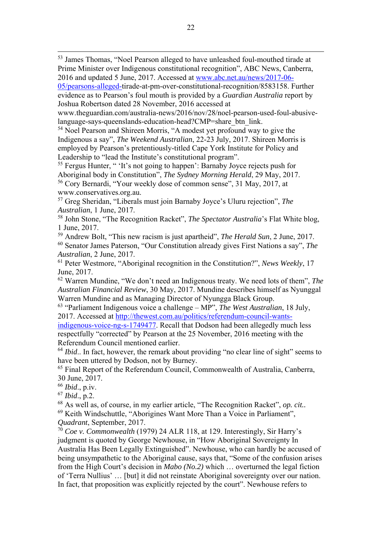53 James Thomas, "Noel Pearson alleged to have unleashed foul-mouthed tirade at Prime Minister over Indigenous constitutional recognition", ABC News, Canberra, 2016 and updated 5 June, 2017. Accessed at www.abc.net.au/news/2017-06-

05/pearsons-alleged-tirade-at-pm-over-constitutional-recognition/8583158. Further evidence as to Pearson's foul mouth is provided by a *Guardian Australia* report by Joshua Robertson dated 28 November, 2016 accessed at

www.theguardian.com/australia-news/2016/nov/28/noel-pearson-used-foul-abusivelanguage-says-queenslands-education-head?CMP=share\_btn\_link.

54 Noel Pearson and Shireen Morris, "A modest yet profound way to give the Indigenous a say", *The Weekend Australian*, 22-23 July, 2017. Shireen Morris is employed by Pearson's pretentiously-titled Cape York Institute for Policy and Leadership to "lead the Institute's constitutional program".

55 Fergus Hunter, " 'It's not going to happen': Barnaby Joyce rejects push for Aboriginal body in Constitution", *The Sydney Morning Herald*, 29 May, 2017. 56 Cory Bernardi, "Your weekly dose of common sense", 31 May, 2017, at www.conservatives.org.au.

57 Greg Sheridan, "Liberals must join Barnaby Joyce's Uluru rejection", *The Australian*, 1 June, 2017.

58 John Stone, "The Recognition Racket", *The Spectator Australia*'s Flat White blog, 1 June, 2017.

59 Andrew Bolt, "This new racism is just apartheid", *The Herald Sun*, 2 June, 2017.

60 Senator James Paterson, "Our Constitution already gives First Nations a say", *The Australian*, 2 June, 2017.

61 Peter Westmore, "Aboriginal recognition in the Constitution?", *News Weekly*, 17 June, 2017.

62 Warren Mundine, "We don't need an Indigenous treaty. We need lots of them", *The Australian Financial Review*, 30 May, 2017. Mundine describes himself as Nyunggal Warren Mundine and as Managing Director of Nyungga Black Group.

63 "Parliament Indigenous voice a challenge – MP", *The West Australian*, 18 July, 2017. Accessed at http://thewest.com.au/politics/referendum-council-wants-

indigenous-voice-ng-s-1749477. Recall that Dodson had been allegedly much less respectfully "corrected" by Pearson at the 25 November, 2016 meeting with the Referendum Council mentioned earlier.

<sup>64</sup> *Ibid.*. In fact, however, the remark about providing "no clear line of sight" seems to have been uttered by Dodson, not by Burney.

65 Final Report of the Referendum Council, Commonwealth of Australia, Canberra, 30 June, 2017.

<sup>66</sup> *Ibid*., p.iv.

<sup>67</sup> *Ibid*., p.2.

68 As well as, of course, in my earlier article, "The Recognition Racket", *op. cit..* 

69 Keith Windschuttle, "Aborigines Want More Than a Voice in Parliament", *Quadrant*, September, 2017.

<sup>70</sup> *Coe v. Commonwealth* (1979) 24 ALR 118, at 129. Interestingly, Sir Harry's judgment is quoted by George Newhouse, in "How Aboriginal Sovereignty In Australia Has Been Legally Extinguished". Newhouse, who can hardly be accused of being unsympathetic to the Aboriginal cause, says that, "Some of the confusion arises from the High Court's decision in *Mabo (No.2)* which … overturned the legal fiction of 'Terra Nullius' … [but] it did not reinstate Aboriginal sovereignty over our nation. In fact, that proposition was explicitly rejected by the court". Newhouse refers to